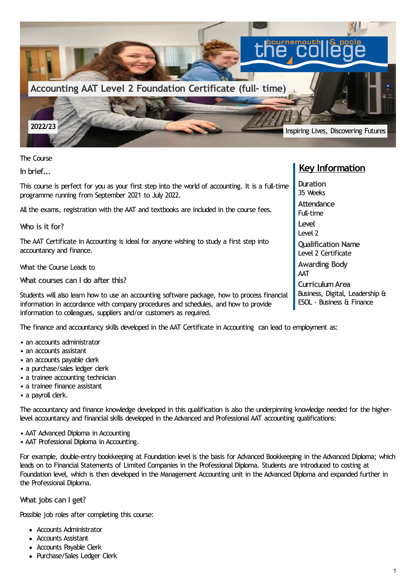

The Course

**In brief...**

This course is perfect for you as your first step into the world of accounting. It is a full-time programme running from September 2021 to July 2022.

All the exams, registration with the AAT and textbooks are included in the course fees.

**Who is it for?**

The AAT Certificate in Accounting is ideal for anyone wishing to study a first step into accountancy and finance.

What the Course Leads to

**What courses can I do after this?**

Students will also learn how to use an accounting software package, how to process financial information in accordance with company procedures and schedules, and how to provide information to colleagues, suppliers and/or customers as required.

The finance and accountancy skills developed in the AAT Certificate in Accounting can lead to employment as:

- an accounts administrator
- an accounts assistant
- an accounts payable clerk
- a purchase/sales ledger clerk
- a trainee accounting technician
- a trainee finance assistant
- a payroll clerk.

The accountancy and finance knowledge developed in this qualification is also the underpinning knowledge needed for the higherlevel accountancy and financial skills developed in the Advanced and Professional AAT accounting qualifications:

- AAT Advanced Diploma in Accounting
- AAT Professional Diploma in Accounting.

For example, double-entry bookkeeping at Foundation level is the basis for Advanced Bookkeeping in the Advanced Diploma; which leads on to Financial Statements of Limited Companies in the Professional Diploma. Students are introduced to costing at Foundation level, which is then developed in the Management Accounting unit in the Advanced Diploma and expanded further in the Professional Diploma.

**What jobs can I get?**

Possible job roles after completing this course:

- Accounts Administrator
- Accounts Assistant
- Accounts Payable Clerk
- Purchase/Sales Ledger Clerk

## **Key Information**

**Duration** 35 Weeks **Attendance** Full-time **Level** Level 2 **Qualification Name** Level 2 Certificate **Awarding Body** AAT **CurriculumArea** Business, Digital, Leadership & ESOL - Business & Finance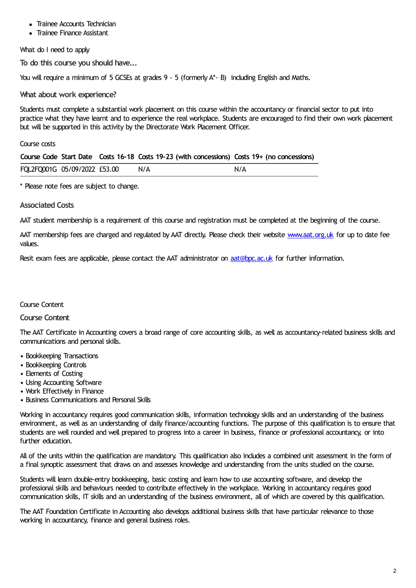- Trainee Accounts Technician
- Trainee Finance Assistant

What do I need to apply

**To do this course you should have...**

You will require a minimum of 5 GCSEs at grades 9 - 5 (formerly A\*- B) including English and Maths.

**What about work experience?**

Students must complete a substantial work placement on this course within the accountancy or financial sector to put into practice what they have learnt and to experience the real workplace. Students are encouraged to find their own work placement but will be supported in this activity by the Directorate Work Placement Officer.

Course costs

|                              |  |     | Course Code Start Date Costs 16-18 Costs 19-23 (with concessions) Costs 19+ (no concessions) |
|------------------------------|--|-----|----------------------------------------------------------------------------------------------|
| FQL2FQ001G 05/09/2022 £53.00 |  | N/A | N/A                                                                                          |

\* Please note fees are subject to change.

## **Associated Costs**

AAT student membership is a requirement of this course and registration must be completed at the beginning of the course.

AAT membership fees are charged and regulated by AAT directly. Please check their website [www.aat.org.uk](http://www.aat.org.uk) for up to date fee values.

Resit exam fees are applicable, please contact the AAT administrator on [aat@bpc.ac.uk](mailto:aat@bpc.ac.uk) for further information.

## Course Content

## **Course Content**

The AAT Certificate in Accounting covers a broad range of core accounting skills, as well as accountancy-related business skills and communications and personal skills.

- Bookkeeping Transactions
- Bookkeeping Controls
- Elements of Costing
- Using Accounting Software
- Work Effectively in Finance
- Business Communications and Personal Skills

Working in accountancy requires good communication skills, information technology skills and an understanding of the business environment, as well as an understanding of daily finance/accounting functions. The purpose of this qualification is to ensure that students are well rounded and well prepared to progress into a career in business, finance or professional accountancy, or into further education.

All of the units within the qualification are mandatory. This qualification also includes a combined unit assessment in the form of a final synoptic assessment that draws on and assesses knowledge and understanding from the units studied on the course.

Students will learn double-entry bookkeeping, basic costing and learn how to use accounting software, and develop the professional skills and behaviours needed to contribute effectively in the workplace. Working in accountancy requires good communication skills, IT skills and an understanding of the business environment, all of which are covered by this qualification.

The AAT Foundation Certificate in Accounting also develops additional business skills that have particular relevance to those working in accountancy, finance and general business roles.